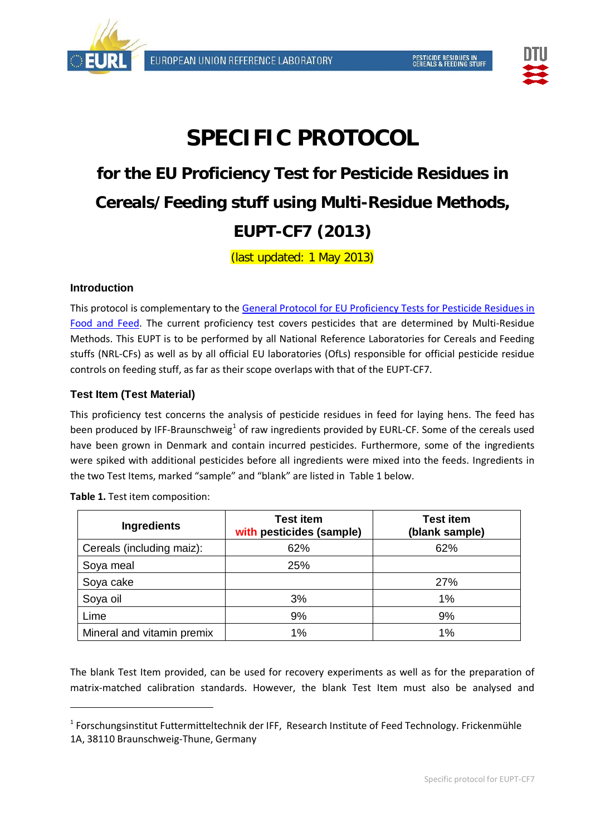



# **SPECIFIC PROTOCOL**

# **for the EU Proficiency Test for Pesticide Residues in Cereals/Feeding stuff using Multi-Residue Methods, EUPT-CF7 (2013)**

(last updated: 1 May 2013)

# **Introduction**

This protocol is complementary to the [General Protocol for EU Proficiency Tests for Pesticide Residues in](http://www.crl-pesticides.eu/library/docs/allcrl/AqcGuidance_Sanco_12495_2011.pdf)  [Food and Feed.](http://www.crl-pesticides.eu/library/docs/allcrl/AqcGuidance_Sanco_12495_2011.pdf) The current proficiency test covers pesticides that are determined by Multi-Residue Methods. This EUPT is to be performed by all National Reference Laboratories for Cereals and Feeding stuffs (NRL-CFs) as well as by all official EU laboratories (OfLs) responsible for official pesticide residue controls on feeding stuff, as far as their scope overlaps with that of the EUPT-CF7.

# **Test Item (Test Material)**

This proficiency test concerns the analysis of pesticide residues in feed for laying hens. The feed has been produced by IFF-Braunschweig<sup>[1](#page-0-0)</sup> of raw ingredients provided by EURL-CF. Some of the cereals used have been grown in Denmark and contain incurred pesticides. Furthermore, some of the ingredients were spiked with additional pesticides before all ingredients were mixed into the feeds. Ingredients in the two Test Items, marked "sample" and "blank" are listed in Table 1 below.

| <b>Ingredients</b>         | <b>Test item</b><br>with pesticides (sample) | <b>Test item</b><br>(blank sample) |
|----------------------------|----------------------------------------------|------------------------------------|
| Cereals (including maiz):  | 62%                                          | 62%                                |
| Soya meal                  | 25%                                          |                                    |
| Soya cake                  |                                              | <b>27%</b>                         |
| Soya oil                   | 3%                                           | 1%                                 |
| Lime                       | 9%                                           | 9%                                 |
| Mineral and vitamin premix | 1%                                           | 1%                                 |

**Table 1.** Test item composition:

 $\overline{a}$ 

The blank Test Item provided, can be used for recovery experiments as well as for the preparation of matrix-matched calibration standards. However, the blank Test Item must also be analysed and

<span id="page-0-0"></span><sup>&</sup>lt;sup>1</sup> Forschungsinstitut Futtermitteltechnik der IFF, Research Institute of Feed Technology. Frickenmühle 1A, 38110 Braunschweig-Thune, Germany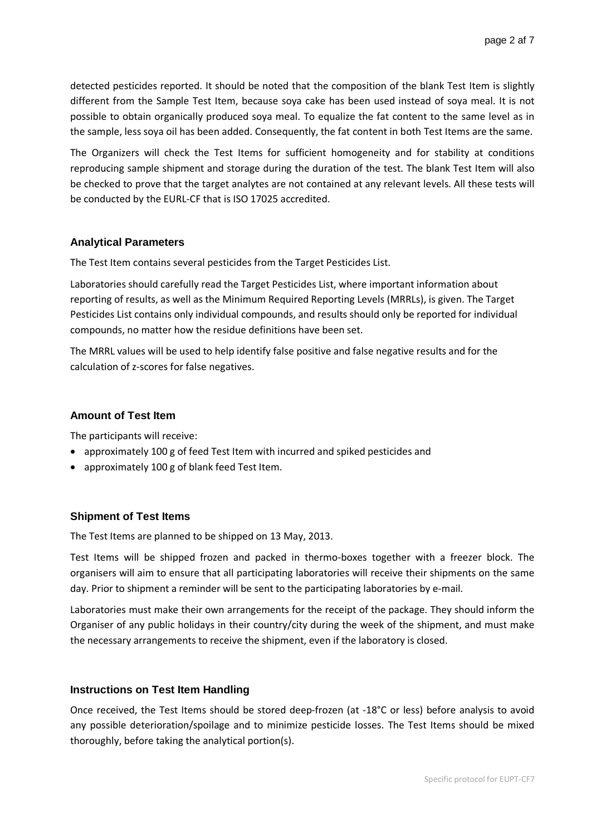detected pesticides reported. It should be noted that the composition of the blank Test Item is slightly different from the Sample Test Item, because soya cake has been used instead of soya meal. It is not possible to obtain organically produced soya meal. To equalize the fat content to the same level as in the sample, less soya oil has been added. Consequently, the fat content in both Test Items are the same.

The Organizers will check the Test Items for sufficient homogeneity and for stability at conditions reproducing sample shipment and storage during the duration of the test. The blank Test Item will also be checked to prove that the target analytes are not contained at any relevant levels. All these tests will be conducted by the EURL-CF that is ISO 17025 accredited.

#### **Analytical Parameters**

The Test Item contains several pesticides from the [Target Pesticides List.](http://www.crl-pesticides.eu/library/docs/cf/EUPT_C5_SRM6_Target.pdf)

Laboratories should carefully read the Target Pesticides List, where important information about reporting of results, as well as the Minimum Required Reporting Levels (MRRLs), is given. The Target Pesticides List contains only individual compounds, and results should only be reported for individual compounds, no matter how the residue definitions have been set.

The MRRL values will be used to help identify false positive and false negative results and for the calculation of z-scores for false negatives.

#### **Amount of Test Item**

The participants will receive:

- approximately 100 g of feed Test Item with incurred and spiked pesticides and
- approximately 100 g of blank feed Test Item.

# **Shipment of Test Items**

The Test Items are planned to be shipped on 13 May, 2013.

Test Items will be shipped frozen and packed in thermo-boxes together with a freezer block. The organisers will aim to ensure that all participating laboratories will receive their shipments on the same day. Prior to shipment a reminder will be sent to the participating laboratories by e-mail.

Laboratories must make their own arrangements for the receipt of the package. They should inform the Organiser of any public holidays in their country/city during the week of the shipment, and must make the necessary arrangements to receive the shipment, even if the laboratory is closed.

# **Instructions on Test Item Handling**

Once received, the Test Items should be stored deep-frozen (at -18°C or less) before analysis to avoid any possible deterioration/spoilage and to minimize pesticide losses. The Test Items should be mixed thoroughly, before taking the analytical portion(s).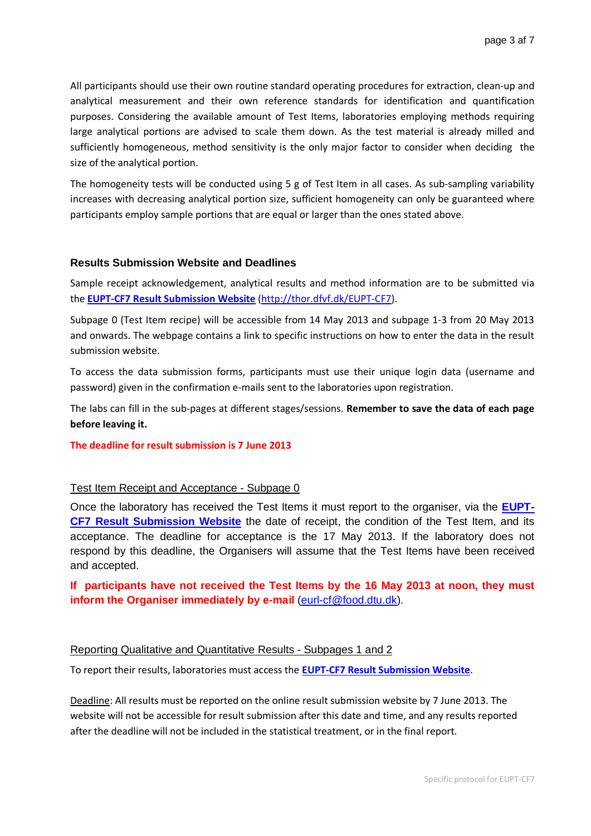All participants should use their own routine standard operating procedures for extraction, clean-up and analytical measurement and their own reference standards for identification and quantification purposes. Considering the available amount of Test Items, laboratories employing methods requiring large analytical portions are advised to scale them down. As the test material is already milled and sufficiently homogeneous, method sensitivity is the only major factor to consider when deciding the size of the analytical portion.

The homogeneity tests will be conducted using 5 g of Test Item in all cases. As sub-sampling variability increases with decreasing analytical portion size, sufficient homogeneity can only be guaranteed where participants employ sample portions that are equal or larger than the ones stated above.

#### **Results Submission Website and Deadlines**

Sample receipt acknowledgement, analytical results and method information are to be submitted via the **EUPT-CF7 [Result Submission Website](http://thor.dfvf.dk/eupt-c6)** [\(http://thor.dfvf.dk/EUPT-CF7\)](http://thor.dfvf.dk/eupt-c6).

Subpage 0 (Test Item recipe) will be accessible from 14 May 2013 and subpage 1-3 from 20 May 2013 and onwards. The webpage contains a link to specific instructions on how to enter the data in the result submission website.

To access the data submission forms, participants must use their unique login data (username and password) given in the confirmation e-mails sent to the laboratories upon registration.

The labs can fill in the sub-pages at different stages/sessions. **Remember to save the data of each page before leaving it.** 

#### **The deadline for result submission is 7 June 2013**

#### Test Item Receipt and Acceptance - Subpage 0

Once the laboratory has received the Test Items it must report to the organiser, via the **[EUPT-](http://thor.dfvf.dk/eupt-c6)CF7 [Result Submission Website](http://thor.dfvf.dk/eupt-c6)** the date of receipt, the condition of the Test Item, and its acceptance. The deadline for acceptance is the 17 May 2013. If the laboratory does not respond by this deadline, the Organisers will assume that the Test Items have been received and accepted.

# **If participants have not received the Test Items by the 16 May 2013 at noon, they must inform the Organiser immediately by e-mail** [\(eurl-cf@food.dtu.dk\)](mailto:eurl-cf@food.dtu.dk).

#### Reporting Qualitative and Quantitative Results - Subpages 1 and 2

To report their results, laboratories must access the **EUPT-CF7 [Result Submission Website](http://thor.dfvf.dk/eupt-c6)**.

Deadline: All results must be reported on the online result submission website by 7 June 2013. The website will not be accessible for result submission after this date and time, and any results reported after the deadline will not be included in the statistical treatment, or in the final report.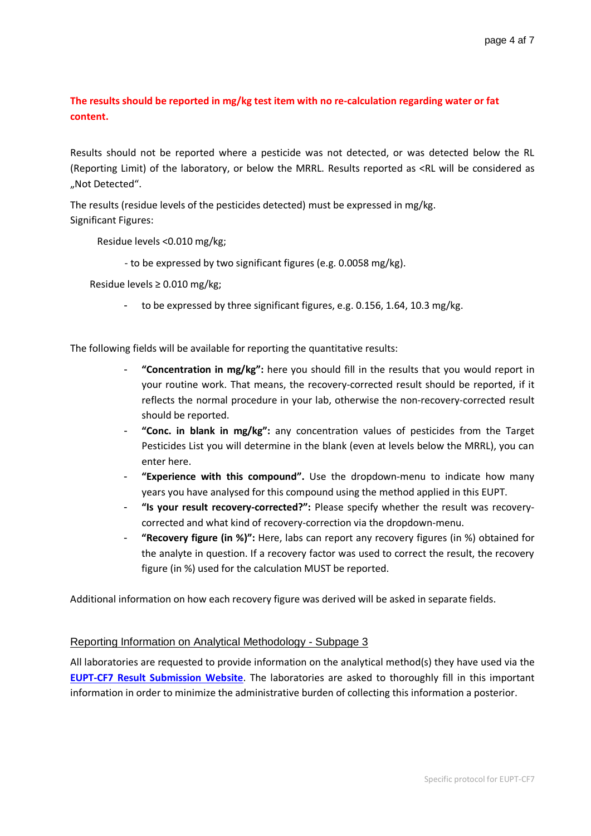# **The results should be reported in mg/kg test item with no re-calculation regarding water or fat content.**

Results should not be reported where a pesticide was not detected, or was detected below the RL (Reporting Limit) of the laboratory, or below the MRRL. Results reported as <RL will be considered as "Not Detected".

The results (residue levels of the pesticides detected) must be expressed in mg/kg. Significant Figures:

Residue levels <0.010 mg/kg;

- to be expressed by two significant figures (e.g. 0.0058 mg/kg).

Residue levels ≥ 0.010 mg/kg;

to be expressed by three significant figures, e.g. 0.156, 1.64, 10.3 mg/kg.

The following fields will be available for reporting the quantitative results:

- **"Concentration in mg/kg":** here you should fill in the results that you would report in your routine work. That means, the recovery-corrected result should be reported, if it reflects the normal procedure in your lab, otherwise the non-recovery-corrected result should be reported.
- **"Conc. in blank in mg/kg":** any concentration values of pesticides from the Target Pesticides List you will determine in the blank (even at levels below the MRRL), you can enter here.
- "Experience with this compound". Use the dropdown-menu to indicate how many years you have analysed for this compound using the method applied in this EUPT.
- **"Is your result recovery-corrected?":** Please specify whether the result was recoverycorrected and what kind of recovery-correction via the dropdown-menu.
- **"Recovery figure (in %)":** Here, labs can report any recovery figures (in %) obtained for the analyte in question. If a recovery factor was used to correct the result, the recovery figure (in %) used for the calculation MUST be reported.

Additional information on how each recovery figure was derived will be asked in separate fields.

# Reporting Information on Analytical Methodology - Subpage 3

All laboratories are requested to provide information on the analytical method(s) they have used via the **EUPT-CF7 [Result Submission Website](http://thor.dfvf.dk/eupt-c6)**. The laboratories are asked to thoroughly fill in this important information in order to minimize the administrative burden of collecting this information a posterior.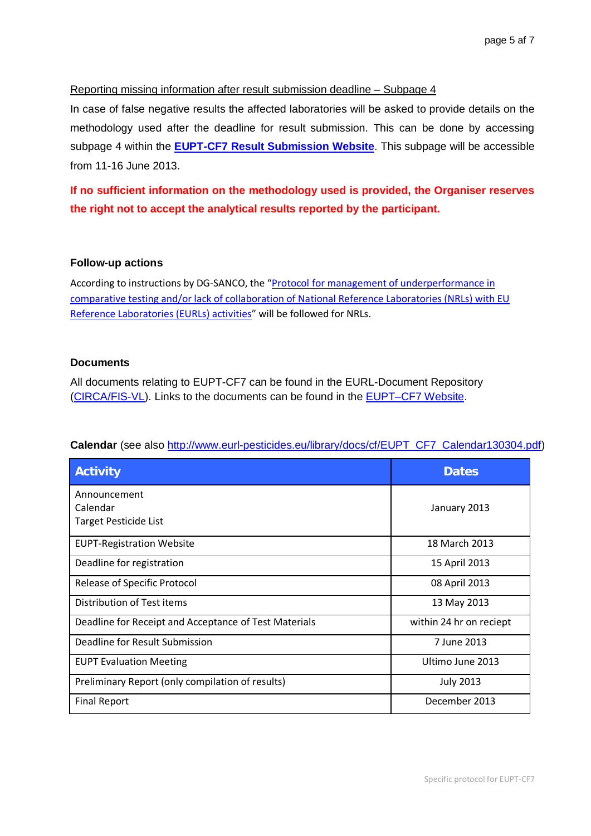# Reporting missing information after result submission deadline – Subpage 4

In case of false negative results the affected laboratories will be asked to provide details on the methodology used after the deadline for result submission. This can be done by accessing subpage 4 within the **EUPT-CF7 [Result Submission Website](http://thor.dfvf.dk/eupt-c6)**. This subpage will be accessible from 11-16 June 2013.

**If no sufficient information on the methodology used is provided, the Organiser reserves the right not to accept the analytical results reported by the participant.**

#### **Follow-up actions**

According to instructions by DG-SANCO, the ["Protocol for management of underperformance in](https://fis-vl.bund.de/Public/irc/fis-vl/Home/main?f=login&referer=http%3A%2F%2Ffis-vl.bund.de%2FMembers%2Firc%2Ffis-vl%2Fcrl-pesticides%2Flibrary%3Fl%3D%2Fcrl-pesticides-general%26vm%3Ddetailed%26sb%3DTitle)  [comparative testing and/or lack of collaboration of National Reference Laboratories \(NRLs\) with EU](https://fis-vl.bund.de/Public/irc/fis-vl/Home/main?f=login&referer=http%3A%2F%2Ffis-vl.bund.de%2FMembers%2Firc%2Ffis-vl%2Fcrl-pesticides%2Flibrary%3Fl%3D%2Fcrl-pesticides-general%26vm%3Ddetailed%26sb%3DTitle)  [Reference Laboratories \(EURLs\) activities"](https://fis-vl.bund.de/Public/irc/fis-vl/Home/main?f=login&referer=http%3A%2F%2Ffis-vl.bund.de%2FMembers%2Firc%2Ffis-vl%2Fcrl-pesticides%2Flibrary%3Fl%3D%2Fcrl-pesticides-general%26vm%3Ddetailed%26sb%3DTitle) will be followed for NRLs.

#### **Documents**

All documents relating to EUPT-CF7 can be found in the EURL-Document Repository [\(CIRCA/FIS-VL\)](http://fis-vl.bund.de/Public/irc/fis-vl/Home/main). Links to the documents can be found in the [EUPT–CF7](http://www.crl-pesticides.eu/docs/public/tmplt_article.asp?LabID=400&CntID=808&Theme_ID=1&Pdf=False&Lang=EN) Website.

| <b>Activity</b>                                       | <b>Dates</b>            |
|-------------------------------------------------------|-------------------------|
| Announcement                                          |                         |
| Calendar                                              | January 2013            |
| <b>Target Pesticide List</b>                          |                         |
| <b>EUPT-Registration Website</b>                      | 18 March 2013           |
| Deadline for registration                             | 15 April 2013           |
| <b>Release of Specific Protocol</b>                   | 08 April 2013           |
| Distribution of Test items                            | 13 May 2013             |
| Deadline for Receipt and Acceptance of Test Materials | within 24 hr on reciept |
| Deadline for Result Submission                        | 7 June 2013             |
| <b>EUPT Evaluation Meeting</b>                        | Ultimo June 2013        |
| Preliminary Report (only compilation of results)      | <b>July 2013</b>        |
| <b>Final Report</b>                                   | December 2013           |

# **Calendar** (see also [http://www.eurl-pesticides.eu/library/docs/cf/EUPT\\_CF7\\_Calendar130304.pdf\)](http://www.eurl-pesticides.eu/library/docs/cf/EUPT_CF7_Calendar130304.pdf)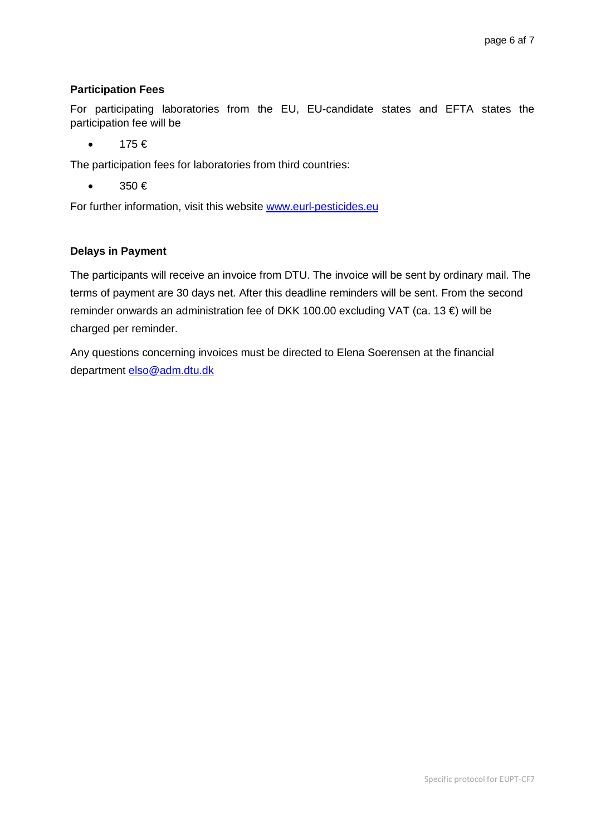# **Participation Fees**

For participating laboratories from the EU, EU-candidate states and EFTA states the participation fee will be

 $\bullet$  175 $\in$ 

The participation fees for laboratories from third countries:

 $\bullet$  350  $\in$ 

For further information, visit this website [www.eurl-pesticides.eu](http://www.eurl-pesticides.eu/)

# **Delays in Payment**

The participants will receive an invoice from DTU. The invoice will be sent by ordinary mail. The terms of payment are 30 days net. After this deadline reminders will be sent. From the second reminder onwards an administration fee of DKK 100.00 excluding VAT (ca. 13 €) will be charged per reminder.

Any questions concerning invoices must be directed to Elena Soerensen at the financial department [elso@adm.dtu.dk](mailto:elso@adm.dtu.dk)